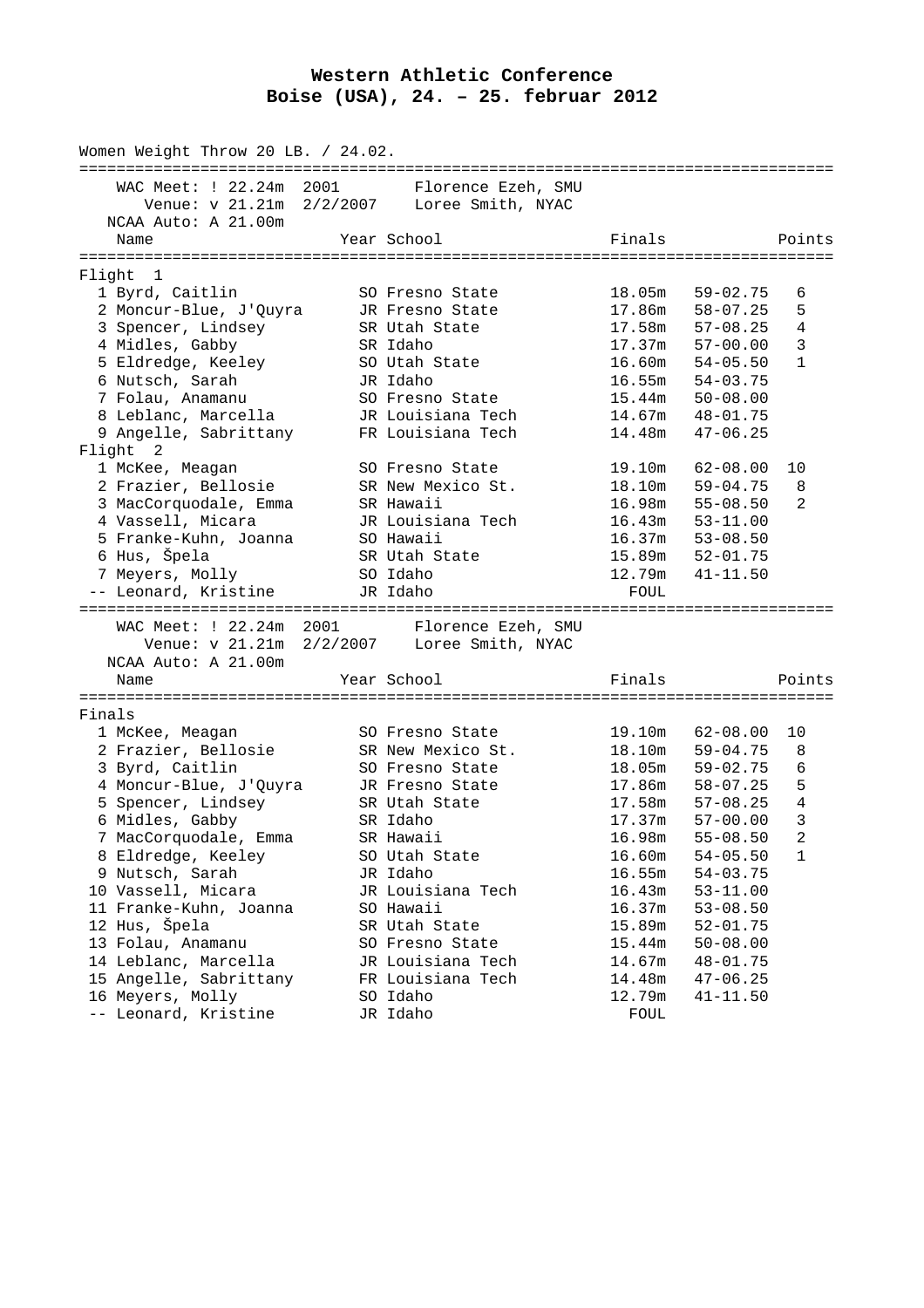## **Western Athletic Conference Boise (USA), 24. – 25. februar 2012**

|        | Women Weight Throw 20 LB. / 24.02.<br>================= |                                                                  |                  | :=================================== |
|--------|---------------------------------------------------------|------------------------------------------------------------------|------------------|--------------------------------------|
|        | WAC Meet: ! 22.24m 2001                                 | Florence Ezeh, SMU                                               |                  |                                      |
|        | Venue: v 21.21m                                         | 2/2/2007 Loree Smith, NYAC                                       |                  |                                      |
|        | NCAA Auto: A 21.00m                                     |                                                                  |                  |                                      |
|        | Name                                                    | Year School                                                      | Finals           | Points                               |
|        |                                                         |                                                                  |                  |                                      |
|        | Flight 1                                                |                                                                  |                  |                                      |
|        | 1 Byrd, Caitlin                                         | SO Fresno State                                                  | 18.05m           | $59 - 02.75$<br>6                    |
|        | 2 Moncur-Blue, J'Quyra                                  | JR Fresno State                                                  | 17.86m           | $58 - 07.25$<br>5                    |
|        | 3 Spencer, Lindsey                                      | SR Utah State                                                    | 17.58m           | $57 - 08.25$<br>4                    |
|        | 4 Midles, Gabby                                         | SR Idaho                                                         | 17.37m           | 57-00.00<br>3                        |
|        | 5 Eldredge, Keeley                                      | SO Utah State                                                    |                  | $16.60m$ $54-05.50$<br>$\mathbf{1}$  |
|        | 6 Nutsch, Sarah                                         | JR Idaho                                                         | 16.55m           | 54-03.75                             |
|        | 7 Folau, Anamanu                                        | SO Fresno State                                                  | 15.44m           | $50 - 08.00$                         |
|        | 8 Leblanc, Marcella                                     | JR Louisiana Tech                                                | 14.67m           | 48-01.75                             |
|        | 9 Angelle, Sabrittany                                   | FR Louisiana Tech                                                | 14.48m           | $47 - 06.25$                         |
|        | Flight 2                                                |                                                                  |                  |                                      |
|        | 1 McKee, Meagan                                         | SO Fresno State                                                  | 19.10m           | $62 - 08.00$<br>10                   |
|        | 2 Frazier, Bellosie                                     | SR New Mexico St.                                                | 18.10m           | $59 - 04.75$<br>8                    |
|        | 3 MacCorquodale, Emma                                   | SR Hawaii                                                        | 16.98m           | $55 - 08.50$<br>2                    |
|        | 4 Vassell, Micara                                       | JR Louisiana Tech                                                | 16.43m           | $53 - 11.00$                         |
|        | 5 Franke-Kuhn, Joanna                                   | SO Hawaii                                                        | 16.37m           | $53 - 08.50$                         |
|        | 6 Hus, Špela                                            | SR Utah State                                                    | 15.89m           | 52-01.75                             |
|        | 7 Meyers, Molly                                         | SO Idaho                                                         | 12.79m           | $41 - 11.50$                         |
|        | -- Leonard, Kristine                                    | JR Idaho                                                         | FOUL             |                                      |
|        | WAC Meet: ! 22.24m 2001                                 |                                                                  |                  |                                      |
|        |                                                         | Florence Ezeh, SMU<br>Venue: v 21.21m 2/2/2007 Loree Smith, NYAC |                  |                                      |
|        | NCAA Auto: A 21.00m                                     |                                                                  |                  |                                      |
|        |                                                         |                                                                  |                  |                                      |
|        | Name                                                    | Year School                                                      | Finals           | Points                               |
| Finals |                                                         |                                                                  |                  |                                      |
|        | 1 McKee, Meagan                                         | SO Fresno State                                                  | 19.10m           | $62 - 08.00$<br>10                   |
|        | 2 Frazier, Bellosie                                     | SR New Mexico St.                                                | 18.10m           | $59 - 04.75$<br>8                    |
|        | 3 Byrd, Caitlin                                         | SO Fresno State                                                  | 18.05m           | $59 - 02.75$<br>6                    |
|        | 4 Moncur-Blue, J'Quyra                                  | JR Fresno State                                                  | 17.86m           | 58-07.25<br>5                        |
|        | 5 Spencer, Lindsey                                      | SR Utah State                                                    | 17.58m           | 57-08.25<br>4                        |
|        | 6 Midles, Gabby                                         | SR Idaho                                                         | 17.37m           | $57 - 00.00$<br>3                    |
|        |                                                         |                                                                  |                  | 2<br>$55 - 08.50$                    |
|        | 7 MacCorquodale, Emma<br>8 Eldredge, Keeley             | SR Hawaii                                                        | 16.98m           |                                      |
|        | 9 Nutsch, Sarah                                         | SO Utah State<br>JR Idaho                                        | 16.60m<br>16.55m | $54 - 05.50$<br>1<br>$54 - 03.75$    |
|        | 10 Vassell, Micara                                      |                                                                  |                  |                                      |
|        | 11 Franke-Kuhn, Joanna                                  | JR Louisiana Tech<br>SO Hawaii                                   | 16.43m           | $53 - 11.00$                         |
|        | 12 Hus, Špela                                           | SR Utah State                                                    | 16.37m<br>15.89m | $53 - 08.50$<br>$52 - 01.75$         |
|        |                                                         |                                                                  |                  |                                      |
|        | 13 Folau, Anamanu<br>14 Leblanc, Marcella               | SO Fresno State                                                  | 15.44m<br>14.67m | $50 - 08.00$                         |
|        | 15 Angelle, Sabrittany                                  | JR Louisiana Tech<br>FR Louisiana Tech                           |                  | $48 - 01.75$                         |
|        | 16 Meyers, Molly                                        | SO Idaho                                                         | 14.48m<br>12.79m | $47 - 06.25$<br>$41 - 11.50$         |
|        | -- Leonard, Kristine                                    | JR Idaho                                                         | FOUL             |                                      |
|        |                                                         |                                                                  |                  |                                      |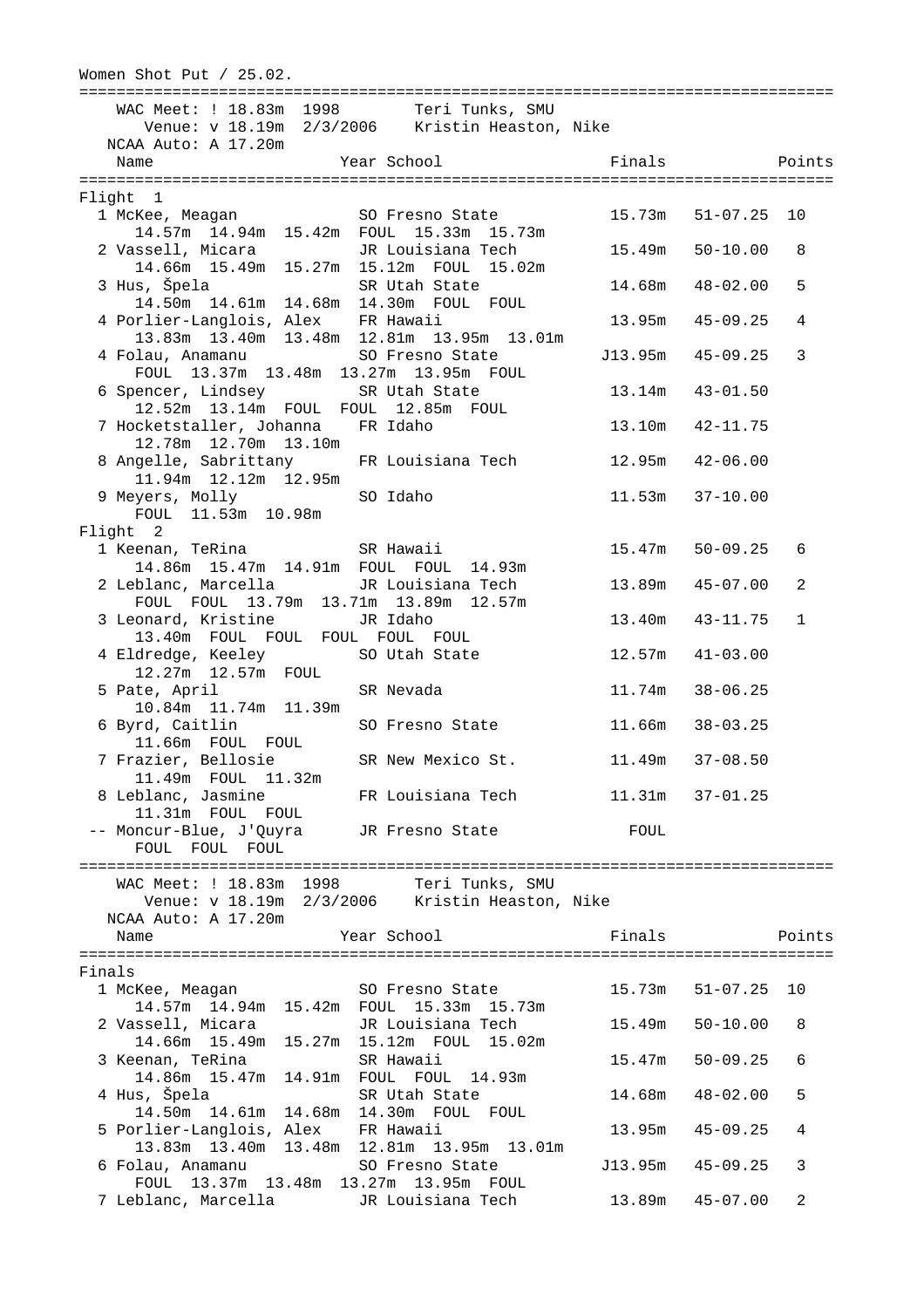Women Shot Put / 25.02. ================================================================================= WAC Meet: ! 18.83m 1998 Teri Tunks, SMU Venue: v 18.19m 2/3/2006 Kristin Heaston, Nike NCAA Auto: A 17.20m Name Year School Finals Points ================================================================================= Flight 1 1 McKee, Meagan SO Fresno State 15.73m 51-07.25 10 14.57m 14.94m 15.42m FOUL 15.33m 15.73m 2 Vassell, Micara JR Louisiana Tech 15.49m 50-10.00 8 14.66m 15.49m 15.27m 15.12m FOUL 15.02m 3 Hus, Špela SR Utah State 14.68m 48-02.00 5 14.50m 14.61m 14.68m 14.30m FOUL FOUL 4 Porlier-Langlois, Alex FR Hawaii 13.95m 45-09.25 4 13.83m 13.40m 13.48m 12.81m 13.95m 13.01m 4 Folau, Anamanu SO Fresno State J13.95m 45-09.25 3 FOUL 13.37m 13.48m 13.27m 13.95m FOUL 6 Spencer, Lindsey SR Utah State 13.14m 43-01.50 12.52m 13.14m FOUL FOUL 12.85m FOUL 7 Hocketstaller, Johanna FR Idaho 13.10m 42-11.75 12.78m 12.70m 13.10m 8 Angelle, Sabrittany FR Louisiana Tech 12.95m 42-06.00 11.94m 12.12m 12.95m 9 Meyers, Molly SO Idaho 11.53m 37-10.00 FOUL 11.53m 10.98m Flight 2 1 Keenan, TeRina SR Hawaii 15.47m 50-09.25 6 14.86m 15.47m 14.91m FOUL FOUL 14.93m 2 Leblanc, Marcella JR Louisiana Tech 13.89m 45-07.00 2 FOUL FOUL 13.79m 13.71m 13.89m 12.57m 3 Leonard, Kristine JR Idaho 13.40m 43-11.75 1 13.40m FOUL FOUL FOUL FOUL FOUL 4 Eldredge, Keeley SO Utah State 12.57m 41-03.00 12.27m 12.57m FOUL 5 Pate, April SR Nevada 11.74m 38-06.25 10.84m 11.74m 11.39m 6 Byrd, Caitlin SO Fresno State 11.66m 38-03.25 11.66m FOUL FOUL 7 Frazier, Bellosie SR New Mexico St. 11.49m 37-08.50 11.49m FOUL 11.32m 8 Leblanc, Jasmine FR Louisiana Tech 11.31m 37-01.25 11.31m FOUL FOUL -- Moncur-Blue, J'Quyra JR Fresno State FOUL FOUL FOUL FOUL ================================================================================= WAC Meet: ! 18.83m 1998 Teri Tunks, SMU Venue: v 18.19m 2/3/2006 Kristin Heaston, Nike NCAA Auto: A 17.20m Name The Year School The Points Points Points ================================================================================= Finals 1 McKee, Meagan SO Fresno State 15.73m 51-07.25 10 14.57m 14.94m 15.42m FOUL 15.33m 15.73m 2 Vassell, Micara JR Louisiana Tech 15.49m 50-10.00 8 14.66m 15.49m 15.27m 15.12m FOUL 15.02m 3 Keenan, TeRina SR Hawaii 15.47m 50-09.25 6 14.86m 15.47m 14.91m FOUL FOUL 14.93m 4 Hus, Špela SR Utah State 14.68m 48-02.00 5 14.50m 14.61m 14.68m 14.30m FOUL FOUL 5 Porlier-Langlois, Alex FR Hawaii 13.95m 45-09.25 4 13.83m 13.40m 13.48m 12.81m 13.95m 13.01m 6 Folau, Anamanu SO Fresno State J13.95m 45-09.25 3 FOUL 13.37m 13.48m 13.27m 13.95m FOUL 7 Leblanc, Marcella JR Louisiana Tech 13.89m 45-07.00 2